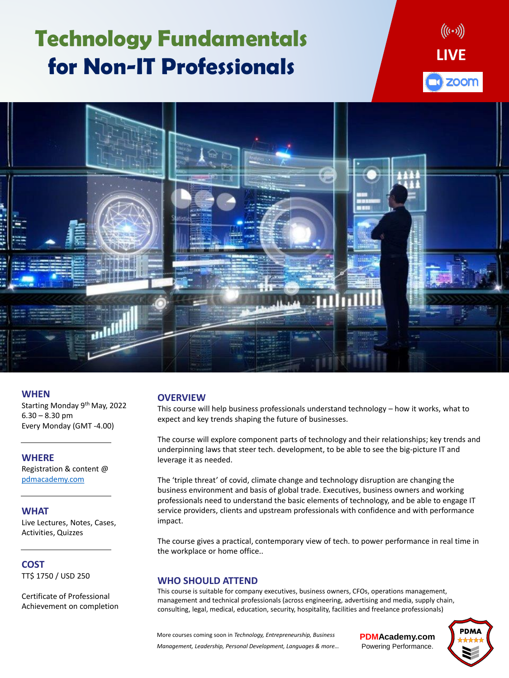# **Technology Fundamentals for Non-IT Professionals**

**PDMAcademy.com** Powering Performance.



### **OVERVIEW**

This course will help business professionals understand technology – how it works, what to expect and key trends shaping the future of businesses.

The course will explore component parts of technology and their relationships; key trends and underpinning laws that steer tech. development, to be able to see the big-picture IT and leverage it as needed.

The 'triple threat' of covid, climate change and technology disruption are changing the business environment and basis of global trade. Executives, business owners and working professionals need to understand the basic elements of technology, and be able to engage IT service providers, clients and upstream professionals with confidence and with performance impact.

The course gives a practical, contemporary view of tech. to power performance in real time in the workplace or home office..

### **WHO SHOULD ATTEND**

This course is suitable for company executives, business owners, CFOs, operations management, management and technical professionals (across engineering, advertising and media, supply chain, consulting, legal, medical, education, security, hospitality, facilities and freelance professionals)

### **WHEN**

Starting Monday 9th May, 2022  $6.30 - 8.30$  pm Every Monday (GMT -4.00)

### **WHERE**

Registration & content @

### [pdmacademy.com](http://pdmacademy.com/)

### **WHAT**

Live Lectures, Notes, Cases, Activities, Quizzes

### **COST** TT\$ 1750 / USD 250

Certificate of Professional Achievement on completion

More courses coming soon in *Technology, Entrepreneurship, Business* 

*Management, Leadership, Personal Development, Languages & more…*